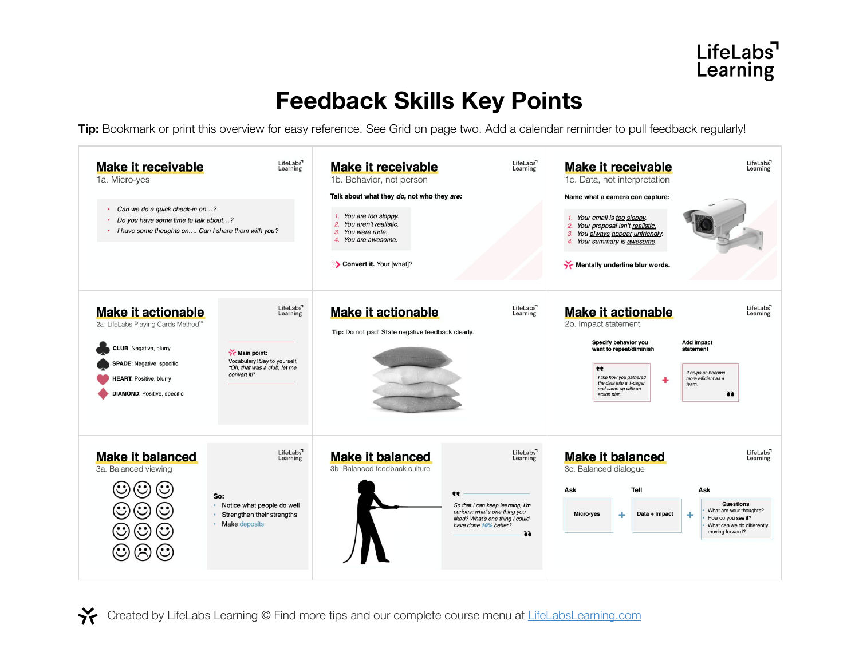## **Feedback Skills Key Points**

**Tip:** Bookmark or print this overview for easy reference. See Grid on page two. Add a calendar reminder to pull feedback regularly!